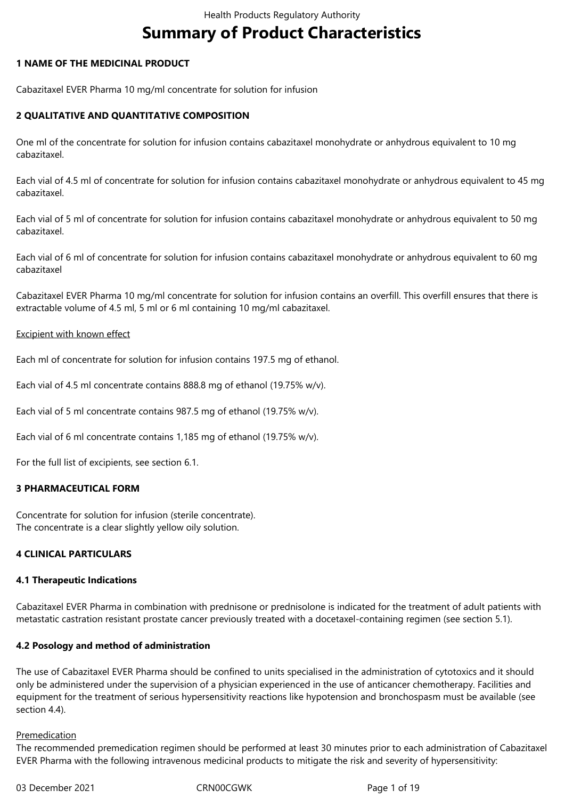# **Summary of Product Characteristics**

## **1 NAME OF THE MEDICINAL PRODUCT**

Cabazitaxel EVER Pharma 10 mg/ml concentrate for solution for infusion

## **2 QUALITATIVE AND QUANTITATIVE COMPOSITION**

One ml of the concentrate for solution for infusion contains cabazitaxel monohydrate or anhydrous equivalent to 10 mg cabazitaxel.

Each vial of 4.5 ml of concentrate for solution for infusion contains cabazitaxel monohydrate or anhydrous equivalent to 45 mg cabazitaxel.

Each vial of 5 ml of concentrate for solution for infusion contains cabazitaxel monohydrate or anhydrous equivalent to 50 mg cabazitaxel.

Each vial of 6 ml of concentrate for solution for infusion contains cabazitaxel monohydrate or anhydrous equivalent to 60 mg cabazitaxel

Cabazitaxel EVER Pharma 10 mg/ml concentrate for solution for infusion contains an overfill. This overfill ensures that there is extractable volume of 4.5 ml, 5 ml or 6 ml containing 10 mg/ml cabazitaxel.

## Excipient with known effect

Each ml of concentrate for solution for infusion contains 197.5 mg of ethanol.

Each vial of 4.5 ml concentrate contains 888.8 mg of ethanol (19.75% w/v).

Each vial of 5 ml concentrate contains 987.5 mg of ethanol (19.75% w/v).

Each vial of 6 ml concentrate contains 1,185 mg of ethanol (19.75% w/v).

For the full list of excipients, see section 6.1.

## **3 PHARMACEUTICAL FORM**

Concentrate for solution for infusion (sterile concentrate). The concentrate is a clear slightly yellow oily solution.

## **4 CLINICAL PARTICULARS**

## **4.1 Therapeutic Indications**

Cabazitaxel EVER Pharma in combination with prednisone or prednisolone is indicated for the treatment of adult patients with metastatic castration resistant prostate cancer previously treated with a docetaxel-containing regimen (see section 5.1).

## **4.2 Posology and method of administration**

The use of Cabazitaxel EVER Pharma should be confined to units specialised in the administration of cytotoxics and it should only be administered under the supervision of a physician experienced in the use of anticancer chemotherapy. Facilities and equipment for the treatment of serious hypersensitivity reactions like hypotension and bronchospasm must be available (see section 4.4).

#### Premedication

The recommended premedication regimen should be performed at least 30 minutes prior to each administration of Cabazitaxel EVER Pharma with the following intravenous medicinal products to mitigate the risk and severity of hypersensitivity: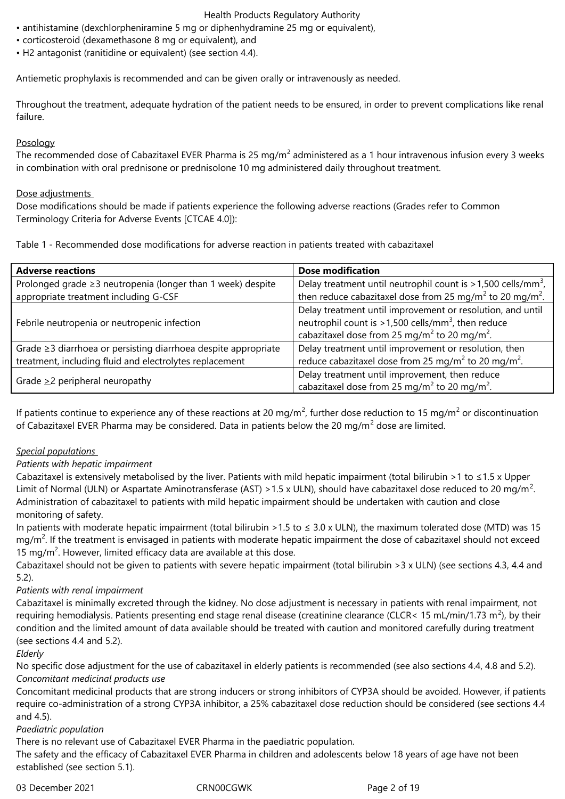- antihistamine (dexchlorpheniramine 5 mg or diphenhydramine 25 mg or equivalent),
- corticosteroid (dexamethasone 8 mg or equivalent), and
- H2 antagonist (ranitidine or equivalent) (see section 4.4).

Antiemetic prophylaxis is recommended and can be given orally or intravenously as needed.

Throughout the treatment, adequate hydration of the patient needs to be ensured, in order to prevent complications like renal failure.

## Posology

The recommended dose of Cabazitaxel EVER Pharma is 25 mg/m<sup>2</sup> administered as a 1 hour intravenous infusion every 3 weeks in combination with oral prednisone or prednisolone 10 mg administered daily throughout treatment.

## Dose adjustments

Dose modifications should be made if patients experience the following adverse reactions (Grades refer to Common Terminology Criteria for Adverse Events [CTCAE 4.0]):

Table 1 - Recommended dose modifications for adverse reaction in patients treated with cabazitaxel

| <b>Adverse reactions</b>                                          | <b>Dose modification</b>                                                                                                                                                                               |
|-------------------------------------------------------------------|--------------------------------------------------------------------------------------------------------------------------------------------------------------------------------------------------------|
| Prolonged grade $\geq$ 3 neutropenia (longer than 1 week) despite | Delay treatment until neutrophil count is $>1,500$ cells/mm <sup>3</sup> ,                                                                                                                             |
| appropriate treatment including G-CSF                             | then reduce cabazitaxel dose from 25 mg/m <sup>2</sup> to 20 mg/m <sup>2</sup> .                                                                                                                       |
| Febrile neutropenia or neutropenic infection                      | Delay treatment until improvement or resolution, and until<br>neutrophil count is $>1,500$ cells/mm <sup>3</sup> , then reduce<br>cabazitaxel dose from 25 mg/m <sup>2</sup> to 20 mg/m <sup>2</sup> . |
| Grade ≥3 diarrhoea or persisting diarrhoea despite appropriate    | Delay treatment until improvement or resolution, then                                                                                                                                                  |
| treatment, including fluid and electrolytes replacement           | reduce cabazitaxel dose from 25 mg/m <sup>2</sup> to 20 mg/m <sup>2</sup> .                                                                                                                            |
| Grade $\geq$ 2 peripheral neuropathy                              | Delay treatment until improvement, then reduce<br>cabazitaxel dose from 25 mg/m <sup>2</sup> to 20 mg/m <sup>2</sup> .                                                                                 |

If patients continue to experience any of these reactions at 20 mg/m<sup>2</sup>, further dose reduction to 15 mg/m<sup>2</sup> or discontinuation of Cabazitaxel EVER Pharma may be considered. Data in patients below the 20 mg/m<sup>2</sup> dose are limited.

## *Special populations*

## *Patients with hepatic impairment*

Cabazitaxel is extensively metabolised by the liver. Patients with mild hepatic impairment (total bilirubin >1 to  $\leq$ 1.5 x Upper Limit of Normal (ULN) or Aspartate Aminotransferase (AST) > 1.5 x ULN), should have cabazitaxel dose reduced to 20 mg/m<sup>2</sup>. Administration of cabazitaxel to patients with mild hepatic impairment should be undertaken with caution and close monitoring of safety.

In patients with moderate hepatic impairment (total bilirubin > 1.5 to  $\leq$  3.0 x ULN), the maximum tolerated dose (MTD) was 15 mg/m<sup>2</sup>. If the treatment is envisaged in patients with moderate hepatic impairment the dose of cabazitaxel should not exceed 15 mg/ $m^2$ . However, limited efficacy data are available at this dose.

Cabazitaxel should not be given to patients with severe hepatic impairment (total bilirubin >3 x ULN) (see sections 4.3, 4.4 and 5.2).

## *Patients with renal impairment*

Cabazitaxel is minimally excreted through the kidney. No dose adjustment is necessary in patients with renal impairment, not requiring hemodialysis. Patients presenting end stage renal disease (creatinine clearance (CLCR< 15 mL/min/1.73 m<sup>2</sup>), by their condition and the limited amount of data available should be treated with caution and monitored carefully during treatment (see sections 4.4 and 5.2).

## *Elderly*

No specific dose adjustment for the use of cabazitaxel in elderly patients is recommended (see also sections 4.4, 4.8 and 5.2). *Concomitant medicinal products use* 

Concomitant medicinal products that are strong inducers or strong inhibitors of CYP3A should be avoided. However, if patients require co-administration of a strong CYP3A inhibitor, a 25% cabazitaxel dose reduction should be considered (see sections 4.4 and 4.5).

## *Paediatric population*

There is no relevant use of Cabazitaxel EVER Pharma in the paediatric population.

The safety and the efficacy of Cabazitaxel EVER Pharma in children and adolescents below 18 years of age have not been established (see section 5.1).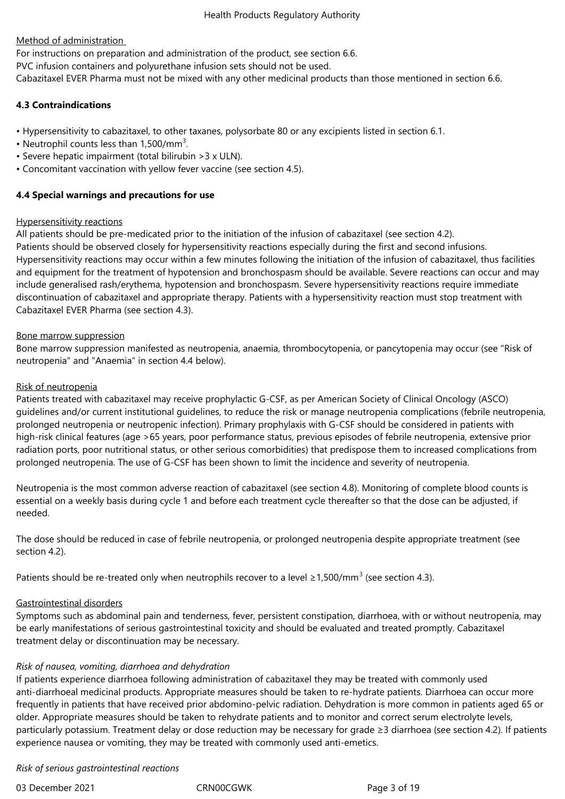## Method of administration

For instructions on preparation and administration of the product, see section 6.6.

PVC infusion containers and polyurethane infusion sets should not be used.

Cabazitaxel EVER Pharma must not be mixed with any other medicinal products than those mentioned in section 6.6.

## **4.3 Contraindications**

- Hypersensitivity to cabazitaxel, to other taxanes, polysorbate 80 or any excipients listed in section 6.1.
- Neutrophil counts less than  $1,500/mm^3$ .
- Severe hepatic impairment (total bilirubin >3 x ULN).
- Concomitant vaccination with yellow fever vaccine (see section 4.5).

## **4.4 Special warnings and precautions for use**

## Hypersensitivity reactions

All patients should be pre-medicated prior to the initiation of the infusion of cabazitaxel (see section 4.2).

Patients should be observed closely for hypersensitivity reactions especially during the first and second infusions. Hypersensitivity reactions may occur within a few minutes following the initiation of the infusion of cabazitaxel, thus facilities and equipment for the treatment of hypotension and bronchospasm should be available. Severe reactions can occur and may include generalised rash/erythema, hypotension and bronchospasm. Severe hypersensitivity reactions require immediate discontinuation of cabazitaxel and appropriate therapy. Patients with a hypersensitivity reaction must stop treatment with Cabazitaxel EVER Pharma (see section 4.3).

## Bone marrow suppression

Bone marrow suppression manifested as neutropenia, anaemia, thrombocytopenia, or pancytopenia may occur (see "Risk of neutropenia" and "Anaemia" in section 4.4 below).

## Risk of neutropenia

Patients treated with cabazitaxel may receive prophylactic G-CSF, as per American Society of Clinical Oncology (ASCO) guidelines and/or current institutional guidelines, to reduce the risk or manage neutropenia complications (febrile neutropenia, prolonged neutropenia or neutropenic infection). Primary prophylaxis with G-CSF should be considered in patients with high-risk clinical features (age >65 years, poor performance status, previous episodes of febrile neutropenia, extensive prior radiation ports, poor nutritional status, or other serious comorbidities) that predispose them to increased complications from prolonged neutropenia. The use of G-CSF has been shown to limit the incidence and severity of neutropenia.

Neutropenia is the most common adverse reaction of cabazitaxel (see section 4.8). Monitoring of complete blood counts is essential on a weekly basis during cycle 1 and before each treatment cycle thereafter so that the dose can be adjusted, if needed.

The dose should be reduced in case of febrile neutropenia, or prolonged neutropenia despite appropriate treatment (see section 4.2).

Patients should be re-treated only when neutrophils recover to a level  $\geq$ 1,500/mm<sup>3</sup> (see section 4.3).

## Gastrointestinal disorders

Symptoms such as abdominal pain and tenderness, fever, persistent constipation, diarrhoea, with or without neutropenia, may be early manifestations of serious gastrointestinal toxicity and should be evaluated and treated promptly. Cabazitaxel treatment delay or discontinuation may be necessary.

## *Risk of nausea, vomiting, diarrhoea and dehydration*

If patients experience diarrhoea following administration of cabazitaxel they may be treated with commonly used anti-diarrhoeal medicinal products. Appropriate measures should be taken to re-hydrate patients. Diarrhoea can occur more frequently in patients that have received prior abdomino-pelvic radiation. Dehydration is more common in patients aged 65 or older. Appropriate measures should be taken to rehydrate patients and to monitor and correct serum electrolyte levels, particularly potassium. Treatment delay or dose reduction may be necessary for grade ≥3 diarrhoea (see section 4.2). If patients experience nausea or vomiting, they may be treated with commonly used anti-emetics.

## *Risk of serious gastrointestinal reactions*

03 December 2021 CRN00CGWK Page 3 of 19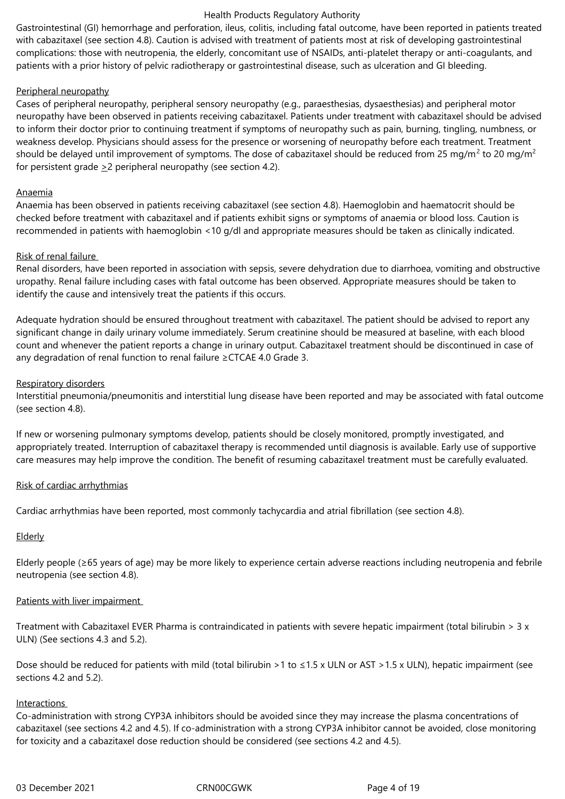Gastrointestinal (GI) hemorrhage and perforation, ileus, colitis, including fatal outcome, have been reported in patients treated with cabazitaxel (see section 4.8). Caution is advised with treatment of patients most at risk of developing gastrointestinal complications: those with neutropenia, the elderly, concomitant use of NSAIDs, anti-platelet therapy or anti-coagulants, and patients with a prior history of pelvic radiotherapy or gastrointestinal disease, such as ulceration and GI bleeding.

## Peripheral neuropathy

Cases of peripheral neuropathy, peripheral sensory neuropathy (e.g., paraesthesias, dysaesthesias) and peripheral motor neuropathy have been observed in patients receiving cabazitaxel. Patients under treatment with cabazitaxel should be advised to inform their doctor prior to continuing treatment if symptoms of neuropathy such as pain, burning, tingling, numbness, or weakness develop. Physicians should assess for the presence or worsening of neuropathy before each treatment. Treatment should be delayed until improvement of symptoms. The dose of cabazitaxel should be reduced from 25 mg/m $^2$  to 20 mg/m $^2$ for persistent grade  $\geq 2$  peripheral neuropathy (see section 4.2).

## Anaemia

Anaemia has been observed in patients receiving cabazitaxel (see section 4.8). Haemoglobin and haematocrit should be checked before treatment with cabazitaxel and if patients exhibit signs or symptoms of anaemia or blood loss. Caution is recommended in patients with haemoglobin <10 g/dl and appropriate measures should be taken as clinically indicated.

#### Risk of renal failure

Renal disorders, have been reported in association with sepsis, severe dehydration due to diarrhoea, vomiting and obstructive uropathy. Renal failure including cases with fatal outcome has been observed. Appropriate measures should be taken to identify the cause and intensively treat the patients if this occurs.

Adequate hydration should be ensured throughout treatment with cabazitaxel. The patient should be advised to report any significant change in daily urinary volume immediately. Serum creatinine should be measured at baseline, with each blood count and whenever the patient reports a change in urinary output. Cabazitaxel treatment should be discontinued in case of any degradation of renal function to renal failure ≥CTCAE 4.0 Grade 3.

#### Respiratory disorders

Interstitial pneumonia/pneumonitis and interstitial lung disease have been reported and may be associated with fatal outcome (see section 4.8).

If new or worsening pulmonary symptoms develop, patients should be closely monitored, promptly investigated, and appropriately treated. Interruption of cabazitaxel therapy is recommended until diagnosis is available. Early use of supportive care measures may help improve the condition. The benefit of resuming cabazitaxel treatment must be carefully evaluated.

## Risk of cardiac arrhythmias

Cardiac arrhythmias have been reported, most commonly tachycardia and atrial fibrillation (see section 4.8).

## Elderly

Elderly people (≥65 years of age) may be more likely to experience certain adverse reactions including neutropenia and febrile neutropenia (see section 4.8).

## Patients with liver impairment

Treatment with Cabazitaxel EVER Pharma is contraindicated in patients with severe hepatic impairment (total bilirubin  $> 3 \times$ ULN) (See sections 4.3 and 5.2).

Dose should be reduced for patients with mild (total bilirubin >1 to  $\leq$ 1.5 x ULN or AST >1.5 x ULN), hepatic impairment (see sections 4.2 and 5.2).

## Interactions

Co-administration with strong CYP3A inhibitors should be avoided since they may increase the plasma concentrations of cabazitaxel (see sections 4.2 and 4.5). If co-administration with a strong CYP3A inhibitor cannot be avoided, close monitoring for toxicity and a cabazitaxel dose reduction should be considered (see sections 4.2 and 4.5).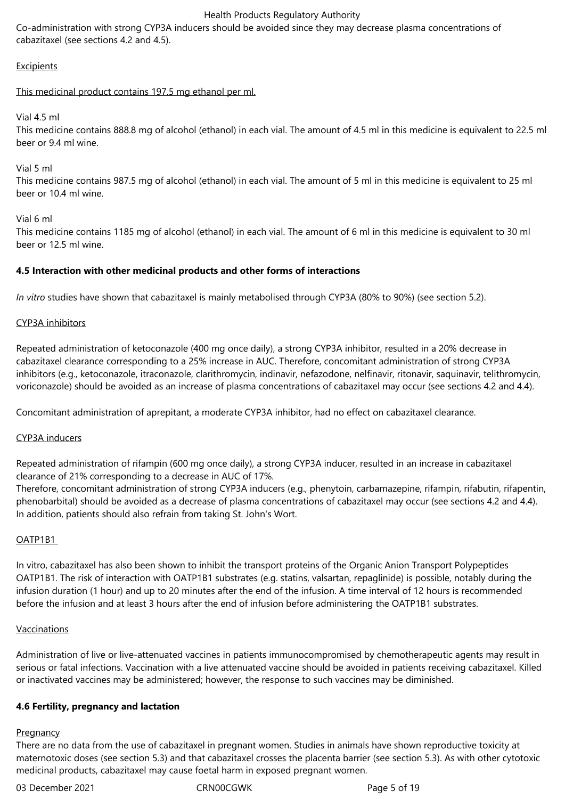Co-administration with strong CYP3A inducers should be avoided since they may decrease plasma concentrations of cabazitaxel (see sections 4.2 and 4.5).

## **Excipients**

## This medicinal product contains 197.5 mg ethanol per ml.

Vial 4.5 ml

This medicine contains 888.8 mg of alcohol (ethanol) in each vial. The amount of 4.5 ml in this medicine is equivalent to 22.5 ml beer or 9.4 ml wine.

Vial 5 ml

This medicine contains 987.5 mg of alcohol (ethanol) in each vial. The amount of 5 ml in this medicine is equivalent to 25 ml beer or 10.4 ml wine.

Vial 6 ml

This medicine contains 1185 mg of alcohol (ethanol) in each vial. The amount of 6 ml in this medicine is equivalent to 30 ml beer or 12.5 ml wine.

## **4.5 Interaction with other medicinal products and other forms of interactions**

*In vitro* studies have shown that cabazitaxel is mainly metabolised through CYP3A (80% to 90%) (see section 5.2).

#### CYP3A inhibitors

Repeated administration of ketoconazole (400 mg once daily), a strong CYP3A inhibitor, resulted in a 20% decrease in cabazitaxel clearance corresponding to a 25% increase in AUC. Therefore, concomitant administration of strong CYP3A inhibitors (e.g., ketoconazole, itraconazole, clarithromycin, indinavir, nefazodone, nelfinavir, ritonavir, saquinavir, telithromycin, voriconazole) should be avoided as an increase of plasma concentrations of cabazitaxel may occur (see sections 4.2 and 4.4).

Concomitant administration of aprepitant, a moderate CYP3A inhibitor, had no effect on cabazitaxel clearance.

#### CYP3A inducers

Repeated administration of rifampin (600 mg once daily), a strong CYP3A inducer, resulted in an increase in cabazitaxel clearance of 21% corresponding to a decrease in AUC of 17%.

Therefore, concomitant administration of strong CYP3A inducers (e.g., phenytoin, carbamazepine, rifampin, rifabutin, rifapentin, phenobarbital) should be avoided as a decrease of plasma concentrations of cabazitaxel may occur (see sections 4.2 and 4.4). In addition, patients should also refrain from taking St. John's Wort.

#### OATP1B1

In vitro, cabazitaxel has also been shown to inhibit the transport proteins of the Organic Anion Transport Polypeptides OATP1B1. The risk of interaction with OATP1B1 substrates (e.g. statins, valsartan, repaglinide) is possible, notably during the infusion duration (1 hour) and up to 20 minutes after the end of the infusion. A time interval of 12 hours is recommended before the infusion and at least 3 hours after the end of infusion before administering the OATP1B1 substrates.

#### Vaccinations

Administration of live or live-attenuated vaccines in patients immunocompromised by chemotherapeutic agents may result in serious or fatal infections. Vaccination with a live attenuated vaccine should be avoided in patients receiving cabazitaxel. Killed or inactivated vaccines may be administered; however, the response to such vaccines may be diminished.

#### **4.6 Fertility, pregnancy and lactation**

#### **Pregnancy**

There are no data from the use of cabazitaxel in pregnant women. Studies in animals have shown reproductive toxicity at maternotoxic doses (see section 5.3) and that cabazitaxel crosses the placenta barrier (see section 5.3). As with other cytotoxic medicinal products, cabazitaxel may cause foetal harm in exposed pregnant women.

03 December 2021 CRN00CGWK Page 5 of 19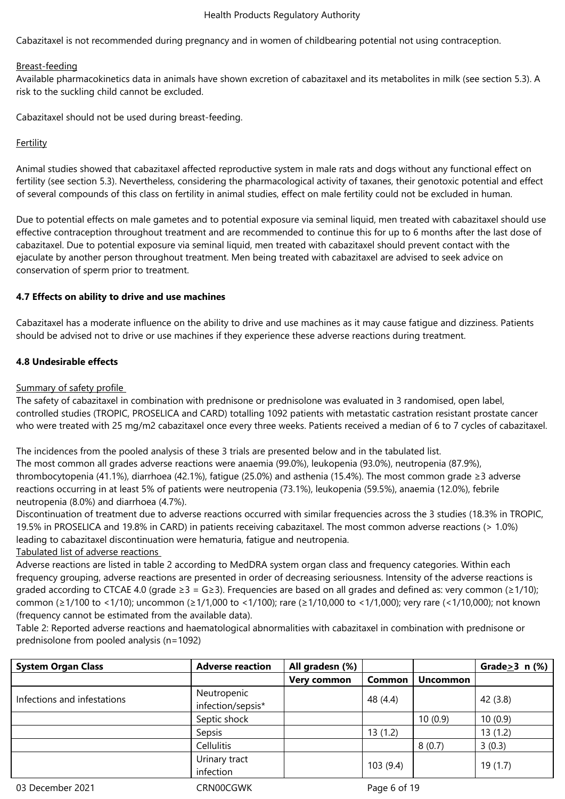Cabazitaxel is not recommended during pregnancy and in women of childbearing potential not using contraception.

## Breast-feeding

Available pharmacokinetics data in animals have shown excretion of cabazitaxel and its metabolites in milk (see section 5.3). A risk to the suckling child cannot be excluded.

Cabazitaxel should not be used during breast-feeding.

## Fertility

Animal studies showed that cabazitaxel affected reproductive system in male rats and dogs without any functional effect on fertility (see section 5.3). Nevertheless, considering the pharmacological activity of taxanes, their genotoxic potential and effect of several compounds of this class on fertility in animal studies, effect on male fertility could not be excluded in human.

Due to potential effects on male gametes and to potential exposure via seminal liquid, men treated with cabazitaxel should use effective contraception throughout treatment and are recommended to continue this for up to 6 months after the last dose of cabazitaxel. Due to potential exposure via seminal liquid, men treated with cabazitaxel should prevent contact with the ejaculate by another person throughout treatment. Men being treated with cabazitaxel are advised to seek advice on conservation of sperm prior to treatment.

## **4.7 Effects on ability to drive and use machines**

Cabazitaxel has a moderate influence on the ability to drive and use machines as it may cause fatigue and dizziness. Patients should be advised not to drive or use machines if they experience these adverse reactions during treatment.

## **4.8 Undesirable effects**

#### Summary of safety profile

The safety of cabazitaxel in combination with prednisone or prednisolone was evaluated in 3 randomised, open label, controlled studies (TROPIC, PROSELICA and CARD) totalling 1092 patients with metastatic castration resistant prostate cancer who were treated with 25 mg/m2 cabazitaxel once every three weeks. Patients received a median of 6 to 7 cycles of cabazitaxel.

The incidences from the pooled analysis of these 3 trials are presented below and in the tabulated list. The most common all grades adverse reactions were anaemia (99.0%), leukopenia (93.0%), neutropenia (87.9%), thrombocytopenia (41.1%), diarrhoea (42.1%), fatigue (25.0%) and asthenia (15.4%). The most common grade ≥3 adverse reactions occurring in at least 5% of patients were neutropenia (73.1%), leukopenia (59.5%), anaemia (12.0%), febrile neutropenia (8.0%) and diarrhoea (4.7%).

Discontinuation of treatment due to adverse reactions occurred with similar frequencies across the 3 studies (18.3% in TROPIC, 19.5% in PROSELICA and 19.8% in CARD) in patients receiving cabazitaxel. The most common adverse reactions (> 1.0%) leading to cabazitaxel discontinuation were hematuria, fatigue and neutropenia.

Tabulated list of adverse reactions

Adverse reactions are listed in table 2 according to MedDRA system organ class and frequency categories. Within each frequency grouping, adverse reactions are presented in order of decreasing seriousness. Intensity of the adverse reactions is graded according to CTCAE 4.0 (grade  $\geq 3 = G \geq 3$ ). Frequencies are based on all grades and defined as: very common ( $\geq 1/10$ ); common (≥1/100 to <1/10); uncommon (≥1/1,000 to <1/100); rare (≥1/10,000 to <1/1,000); very rare (<1/10,000); not known (frequency cannot be estimated from the available data).

Table 2: Reported adverse reactions and haematological abnormalities with cabazitaxel in combination with prednisone or prednisolone from pooled analysis (n=1092)

| <b>System Organ Class</b>   | <b>Adverse reaction</b>          | All gradesn (%)    |               |                 | Grade $\geq$ 3 n (%) |
|-----------------------------|----------------------------------|--------------------|---------------|-----------------|----------------------|
|                             |                                  | <b>Very common</b> | <b>Common</b> | <b>Uncommon</b> |                      |
| Infections and infestations | Neutropenic<br>infection/sepsis* |                    | 48 (4.4)      |                 | 42(3.8)              |
|                             | Septic shock                     |                    |               | 10(0.9)         | 10(0.9)              |
|                             | Sepsis                           |                    | 13(1.2)       |                 | 13(1.2)              |
|                             | Cellulitis                       |                    |               | 8(0.7)          | 3(0.3)               |
|                             | Urinary tract<br>infection       |                    | 103(9.4)      |                 | 19(1.7)              |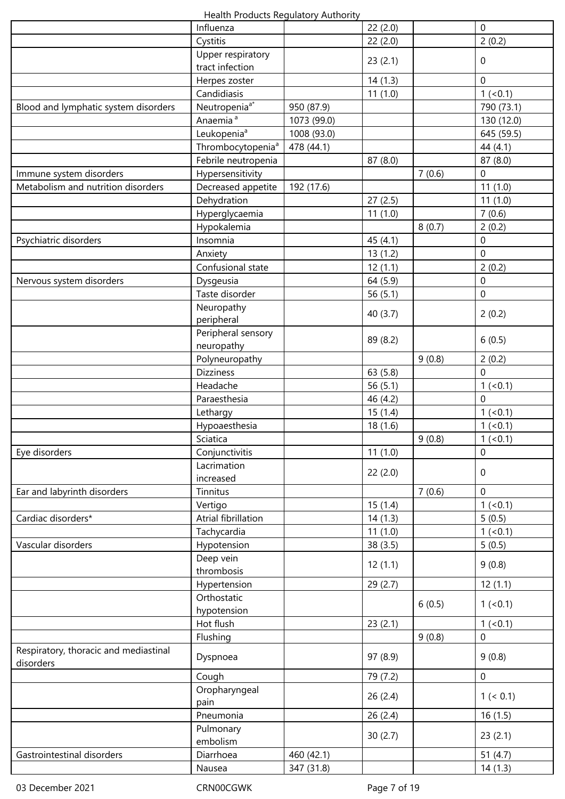| Health Products Regulatory Authority |  |  |
|--------------------------------------|--|--|
|--------------------------------------|--|--|

|                                                    | Health Floudcts Regulatory Authority |                          |            |        |                       |
|----------------------------------------------------|--------------------------------------|--------------------------|------------|--------|-----------------------|
|                                                    | Influenza                            |                          | 22(2.0)    |        | $\mathbf 0$           |
|                                                    | Cystitis                             |                          | 22(2.0)    |        | 2(0.2)                |
|                                                    | Upper respiratory<br>tract infection |                          | 23(2.1)    |        | $\mathbf 0$           |
|                                                    | Herpes zoster                        |                          | 14(1.3)    |        | $\mathbf{0}$          |
|                                                    | Candidiasis                          |                          | 11(1.0)    |        | 1 (< 0.1)             |
| Blood and lymphatic system disorders               | Neutropenia <sup>a*</sup>            | 950 (87.9)               |            |        | 790 (73.1)            |
|                                                    | Anaemia <sup>a</sup>                 | 1073 (99.0)              |            |        | 130 (12.0)            |
|                                                    | Leukopenia <sup>a</sup>              | 1008 (93.0)              |            |        | 645 (59.5)            |
|                                                    | Thrombocytopenia <sup>a</sup>        | 478 (44.1)               |            |        | 44 (4.1)              |
|                                                    | Febrile neutropenia                  |                          | 87 (8.0)   |        | 87(8.0)               |
| Immune system disorders                            | Hypersensitivity                     |                          |            | 7(0.6) | $\overline{0}$        |
| Metabolism and nutrition disorders                 | Decreased appetite                   | 192 (17.6)               |            |        | 11(1.0)               |
|                                                    | Dehydration                          |                          | 27(2.5)    |        | 11(1.0)               |
|                                                    | Hyperglycaemia                       |                          | 11(1.0)    |        | 7(0.6)                |
|                                                    | Hypokalemia                          |                          |            | 8(0.7) | 2(0.2)                |
| Psychiatric disorders                              | Insomnia                             |                          | 45 (4.1)   |        | $\mathbf 0$           |
|                                                    | Anxiety                              |                          | 13(1.2)    |        | $\overline{0}$        |
|                                                    | Confusional state                    |                          | 12(1.1)    |        | 2(0.2)                |
| Nervous system disorders                           | Dysgeusia                            |                          | 64 (5.9)   |        | $\overline{0}$        |
|                                                    | Taste disorder                       |                          | 56(5.1)    |        | $\overline{0}$        |
|                                                    | Neuropathy<br>peripheral             |                          | 40(3.7)    |        | 2(0.2)                |
|                                                    | Peripheral sensory                   |                          |            |        |                       |
|                                                    | neuropathy                           |                          | 89 (8.2)   |        | 6(0.5)                |
|                                                    | Polyneuropathy                       |                          |            | 9(0.8) | 2(0.2)                |
|                                                    | <b>Dizziness</b>                     |                          | 63 (5.8)   |        | $\overline{0}$        |
|                                                    | Headache                             |                          | 56 $(5.1)$ |        | 1 (< 0.1)             |
|                                                    | Paraesthesia                         |                          | 46 (4.2)   |        | $\Omega$              |
|                                                    | Lethargy                             |                          | 15(1.4)    |        | 1 (< 0.1)             |
|                                                    | Hypoaesthesia                        |                          | 18(1.6)    |        | 1 (< 0.1)             |
|                                                    | Sciatica                             |                          |            | 9(0.8) | 1 (< 0.1)             |
| Eye disorders                                      | Conjunctivitis                       |                          | 11(1.0)    |        | $\mathbf 0$           |
|                                                    | Lacrimation<br>increased             |                          | 22(2.0)    |        | $\mathbf 0$           |
| Ear and labyrinth disorders                        | Tinnitus                             |                          |            | 7(0.6) | $\mathbf{0}$          |
|                                                    | Vertigo                              |                          | 15(1.4)    |        | 1 (< 0.1)             |
| Cardiac disorders*                                 | Atrial fibrillation                  |                          | 14(1.3)    |        | 5(0.5)                |
|                                                    | Tachycardia                          |                          | 11(1.0)    |        | 1 (< 0.1)             |
| Vascular disorders                                 | Hypotension                          |                          | 38(3.5)    |        | 5(0.5)                |
|                                                    | Deep vein<br>thrombosis              |                          | 12(1.1)    |        | 9(0.8)                |
|                                                    | Hypertension                         |                          | 29 (2.7)   |        | 12(1.1)               |
|                                                    | Orthostatic                          |                          |            |        |                       |
|                                                    | hypotension                          |                          |            | 6(0.5) | 1 (< 0.1)             |
|                                                    | Hot flush                            |                          | 23(2.1)    |        | 1 (< 0.1)             |
|                                                    | Flushing                             |                          |            | 9(0.8) | $\mathbf 0$           |
| Respiratory, thoracic and mediastinal<br>disorders | Dyspnoea                             |                          | 97 (8.9)   |        | 9(0.8)                |
|                                                    | Cough                                |                          | 79 (7.2)   |        | $\boldsymbol{0}$      |
|                                                    | Oropharyngeal<br>pain                |                          | 26(2.4)    |        | 1 (< 0.1)             |
|                                                    | Pneumonia                            |                          | 26 (2.4)   |        | 16(1.5)               |
|                                                    | Pulmonary                            |                          |            |        |                       |
|                                                    | embolism<br>Diarrhoea                |                          | 30(2.7)    |        | 23(2.1)               |
| Gastrointestinal disorders                         |                                      | 460 (42.1)<br>347 (31.8) |            |        | 51 $(4.7)$<br>14(1.3) |
|                                                    | Nausea                               |                          |            |        |                       |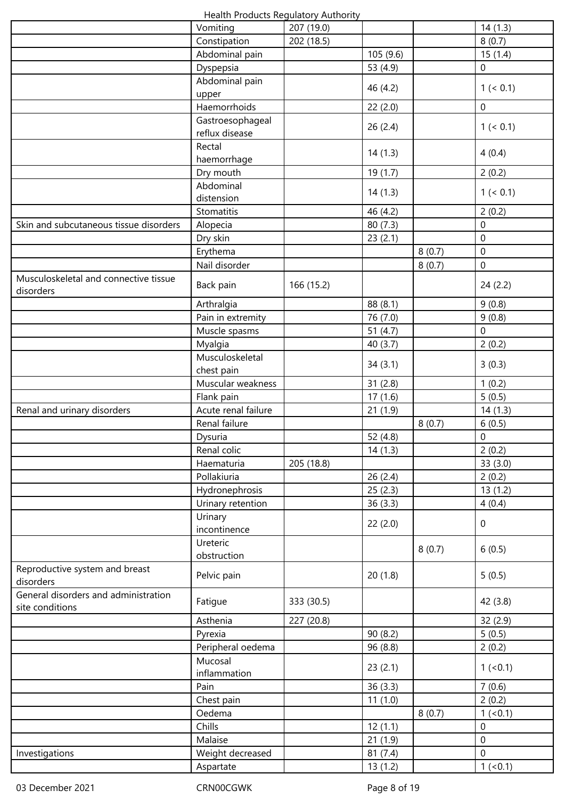|                                                         | Health Products Regulatory Authority |            |            |        |                  |
|---------------------------------------------------------|--------------------------------------|------------|------------|--------|------------------|
|                                                         | Vomiting                             | 207 (19.0) |            |        | 14(1.3)          |
|                                                         | Constipation                         | 202 (18.5) |            |        | 8(0.7)           |
|                                                         | Abdominal pain                       |            | 105 (9.6)  |        | 15(1.4)          |
|                                                         | Dyspepsia                            |            | 53 (4.9)   |        | $\mathbf 0$      |
|                                                         | Abdominal pain<br>upper              |            | 46 (4.2)   |        | 1 (< 0.1)        |
|                                                         | Haemorrhoids                         |            | 22(2.0)    |        | $\boldsymbol{0}$ |
|                                                         | Gastroesophageal                     |            |            |        |                  |
|                                                         | reflux disease                       |            | 26(2.4)    |        | 1 (< 0.1)        |
|                                                         | Rectal<br>haemorrhage                |            | 14(1.3)    |        | 4(0.4)           |
|                                                         | Dry mouth                            |            | 19 (1.7)   |        | 2(0.2)           |
|                                                         | Abdominal                            |            |            |        |                  |
|                                                         | distension                           |            | 14(1.3)    |        | 1 (< 0.1)        |
|                                                         | Stomatitis                           |            | 46 (4.2)   |        | 2(0.2)           |
| Skin and subcutaneous tissue disorders                  | Alopecia                             |            | 80(7.3)    |        | $\mathbf 0$      |
|                                                         | Dry skin                             |            | 23(2.1)    |        | $\mathbf 0$      |
|                                                         | Erythema                             |            |            | 8(0.7) | $\mathbf 0$      |
|                                                         | Nail disorder                        |            |            | 8(0.7) | $\boldsymbol{0}$ |
| Musculoskeletal and connective tissue<br>disorders      | Back pain                            | 166 (15.2) |            |        | 24(2.2)          |
|                                                         | Arthralgia                           |            | 88 (8.1)   |        | 9(0.8)           |
|                                                         |                                      |            |            |        |                  |
|                                                         | Pain in extremity                    |            | 76 (7.0)   |        | 9(0.8)           |
|                                                         | Muscle spasms                        |            | 51 $(4.7)$ |        | $\mathbf 0$      |
|                                                         | Myalgia                              |            | 40 (3.7)   |        | 2(0.2)           |
|                                                         | Musculoskeletal<br>chest pain        |            | 34(3.1)    |        | 3(0.3)           |
|                                                         | Muscular weakness                    |            | 31(2.8)    |        | 1(0.2)           |
|                                                         | Flank pain                           |            | 17(1.6)    |        | 5(0.5)           |
| Renal and urinary disorders                             | Acute renal failure                  |            | 21(1.9)    |        | 14(1.3)          |
|                                                         | Renal failure                        |            |            | 8(0.7) | 6(0.5)           |
|                                                         | Dysuria                              |            | 52 (4.8)   |        | $\boldsymbol{0}$ |
|                                                         | Renal colic                          |            | 14(1.3)    |        | 2(0.2)           |
|                                                         | Haematuria                           | 205 (18.8) |            |        | 33(3.0)          |
|                                                         | Pollakiuria                          |            | 26(2.4)    |        | 2(0.2)           |
|                                                         | Hydronephrosis                       |            | 25(2.3)    |        | 13(1.2)          |
|                                                         | Urinary retention                    |            | 36(3.3)    |        | 4(0.4)           |
|                                                         | Urinary<br>incontinence              |            | 22(2.0)    |        | $\boldsymbol{0}$ |
|                                                         | Ureteric                             |            |            | 8(0.7) | 6(0.5)           |
|                                                         | obstruction                          |            |            |        |                  |
| Reproductive system and breast<br>disorders             | Pelvic pain                          |            | 20(1.8)    |        | 5(0.5)           |
| General disorders and administration<br>site conditions | Fatigue                              | 333 (30.5) |            |        | 42 (3.8)         |
|                                                         | Asthenia                             | 227 (20.8) |            |        | 32(2.9)          |
|                                                         | Pyrexia                              |            | 90(8.2)    |        | 5(0.5)           |
|                                                         | Peripheral oedema                    |            | 96 (8.8)   |        | 2(0.2)           |
|                                                         | Mucosal                              |            |            |        |                  |
|                                                         | inflammation                         |            | 23(2.1)    |        | 1 (< 0.1)        |
|                                                         | Pain                                 |            | 36(3.3)    |        | 7(0.6)           |
|                                                         | Chest pain                           |            | 11(1.0)    |        | 2(0.2)           |
|                                                         | Oedema                               |            |            | 8(0.7) | $1 (-0.1)$       |
|                                                         | Chills                               |            | 12(1.1)    |        | $\boldsymbol{0}$ |
|                                                         | Malaise                              |            | 21(1.9)    |        | $\boldsymbol{0}$ |
| Investigations                                          | Weight decreased                     |            | 81(7.4)    |        | $\overline{0}$   |
|                                                         | Aspartate                            |            | 13(1.2)    |        | $1 (-0.1)$       |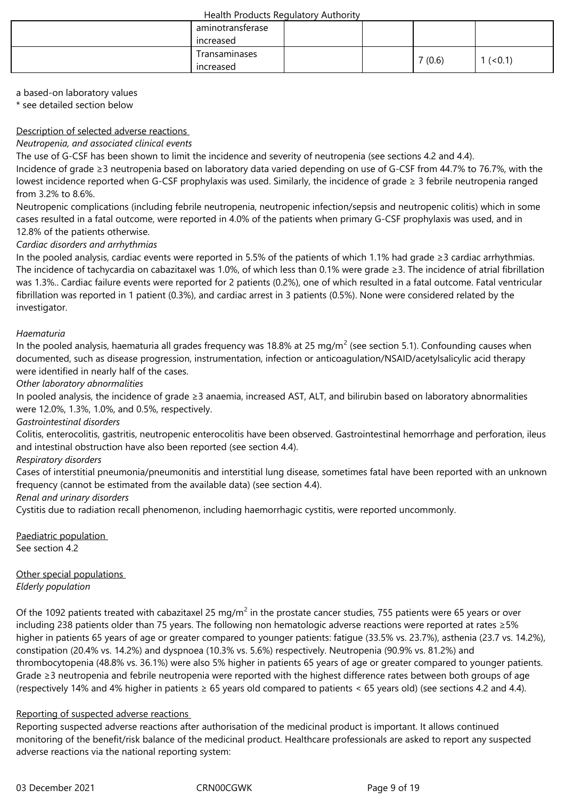| aminotransferase |  |        |         |
|------------------|--|--------|---------|
| increased        |  |        |         |
| Transaminases    |  |        |         |
| increased        |  | 7(0.6) | (< 0.1) |

a based-on laboratory values

\* see detailed section below

## Description of selected adverse reactions

## *Neutropenia, and associated clinical events*

The use of G-CSF has been shown to limit the incidence and severity of neutropenia (see sections 4.2 and 4.4).

Incidence of grade ≥3 neutropenia based on laboratory data varied depending on use of G-CSF from 44.7% to 76.7%, with the lowest incidence reported when G-CSF prophylaxis was used. Similarly, the incidence of grade ≥ 3 febrile neutropenia ranged from 3.2% to 8.6%.

Neutropenic complications (including febrile neutropenia, neutropenic infection/sepsis and neutropenic colitis) which in some cases resulted in a fatal outcome, were reported in 4.0% of the patients when primary G-CSF prophylaxis was used, and in 12.8% of the patients otherwise.

## *Cardiac disorders and arrhythmias*

In the pooled analysis, cardiac events were reported in 5.5% of the patients of which 1.1% had grade ≥3 cardiac arrhythmias. The incidence of tachycardia on cabazitaxel was 1.0%, of which less than 0.1% were grade ≥3. The incidence of atrial fibrillation was 1.3%.. Cardiac failure events were reported for 2 patients (0.2%), one of which resulted in a fatal outcome. Fatal ventricular fibrillation was reported in 1 patient (0.3%), and cardiac arrest in 3 patients (0.5%). None were considered related by the investigator.

## *Haematuria*

In the pooled analysis, haematuria all grades frequency was 18.8% at 25 mg/m<sup>2</sup> (see section 5.1). Confounding causes when documented, such as disease progression, instrumentation, infection or anticoagulation/NSAID/acetylsalicylic acid therapy were identified in nearly half of the cases.

## *Other laboratory abnormalities*

In pooled analysis, the incidence of grade ≥3 anaemia, increased AST, ALT, and bilirubin based on laboratory abnormalities were 12.0%, 1.3%, 1.0%, and 0.5%, respectively.

## *Gastrointestinal disorders*

Colitis, enterocolitis, gastritis, neutropenic enterocolitis have been observed. Gastrointestinal hemorrhage and perforation, ileus and intestinal obstruction have also been reported (see section 4.4).

## *Respiratory disorders*

Cases of interstitial pneumonia/pneumonitis and interstitial lung disease, sometimes fatal have been reported with an unknown frequency (cannot be estimated from the available data) (see section 4.4).

## *Renal and urinary disorders*

Cystitis due to radiation recall phenomenon, including haemorrhagic cystitis, were reported uncommonly.

Paediatric population See section 4.2

Other special populations *Elderly population* 

Of the 1092 patients treated with cabazitaxel 25 mg/m<sup>2</sup> in the prostate cancer studies, 755 patients were 65 years or over including 238 patients older than 75 years. The following non hematologic adverse reactions were reported at rates ≥5% higher in patients 65 years of age or greater compared to younger patients: fatigue (33.5% vs. 23.7%), asthenia (23.7 vs. 14.2%), constipation (20.4% vs. 14.2%) and dyspnoea (10.3% vs. 5.6%) respectively. Neutropenia (90.9% vs. 81.2%) and thrombocytopenia (48.8% vs. 36.1%) were also 5% higher in patients 65 years of age or greater compared to younger patients. Grade ≥3 neutropenia and febrile neutropenia were reported with the highest difference rates between both groups of age (respectively 14% and 4% higher in patients ≥ 65 years old compared to patients < 65 years old) (see sections 4.2 and 4.4).

## Reporting of suspected adverse reactions

Reporting suspected adverse reactions after authorisation of the medicinal product is important. It allows continued monitoring of the benefit/risk balance of the medicinal product. Healthcare professionals are asked to report any suspected adverse reactions via the national reporting system: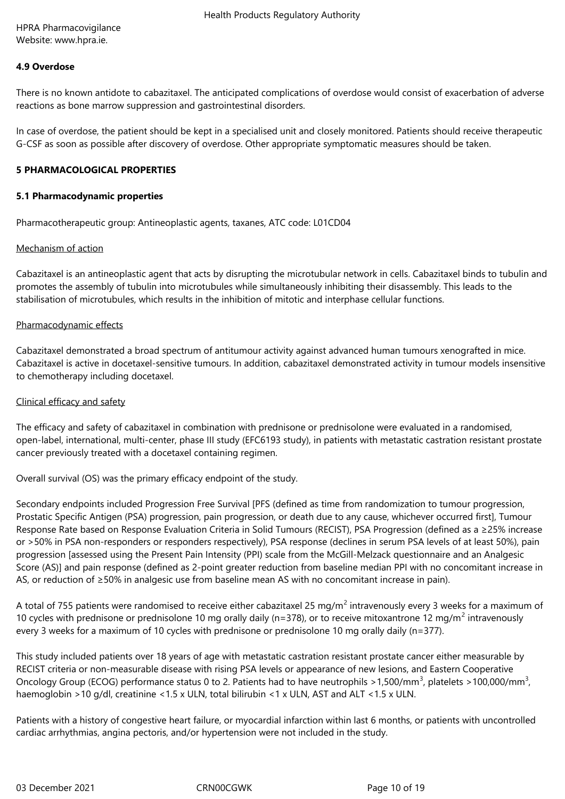HPRA Pharmacovigilance Website: www.hpra.ie.

### **4.9 Overdose**

There is no known antidote to cabazitaxel. The anticipated complications of overdose would consist of exacerbation of adverse reactions as bone marrow suppression and gastrointestinal disorders.

In case of overdose, the patient should be kept in a specialised unit and closely monitored. Patients should receive therapeutic G-CSF as soon as possible after discovery of overdose. Other appropriate symptomatic measures should be taken.

#### **5 PHARMACOLOGICAL PROPERTIES**

#### **5.1 Pharmacodynamic properties**

Pharmacotherapeutic group: Antineoplastic agents, taxanes, ATC code: L01CD04

#### Mechanism of action

Cabazitaxel is an antineoplastic agent that acts by disrupting the microtubular network in cells. Cabazitaxel binds to tubulin and promotes the assembly of tubulin into microtubules while simultaneously inhibiting their disassembly. This leads to the stabilisation of microtubules, which results in the inhibition of mitotic and interphase cellular functions.

#### Pharmacodynamic effects

Cabazitaxel demonstrated a broad spectrum of antitumour activity against advanced human tumours xenografted in mice. Cabazitaxel is active in docetaxel-sensitive tumours. In addition, cabazitaxel demonstrated activity in tumour models insensitive to chemotherapy including docetaxel.

#### Clinical efficacy and safety

The efficacy and safety of cabazitaxel in combination with prednisone or prednisolone were evaluated in a randomised, open-label, international, multi-center, phase III study (EFC6193 study), in patients with metastatic castration resistant prostate cancer previously treated with a docetaxel containing regimen.

Overall survival (OS) was the primary efficacy endpoint of the study.

Secondary endpoints included Progression Free Survival [PFS (defined as time from randomization to tumour progression, Prostatic Specific Antigen (PSA) progression, pain progression, or death due to any cause, whichever occurred first], Tumour Response Rate based on Response Evaluation Criteria in Solid Tumours (RECIST), PSA Progression (defined as a ≥25% increase or >50% in PSA non-responders or responders respectively), PSA response (declines in serum PSA levels of at least 50%), pain progression [assessed using the Present Pain Intensity (PPI) scale from the McGill-Melzack questionnaire and an Analgesic Score (AS)] and pain response (defined as 2-point greater reduction from baseline median PPI with no concomitant increase in AS, or reduction of ≥50% in analgesic use from baseline mean AS with no concomitant increase in pain).

A total of 755 patients were randomised to receive either cabazitaxel 25 mg/m<sup>2</sup> intravenously every 3 weeks for a maximum of 10 cycles with prednisone or prednisolone 10 mg orally daily (n=378), or to receive mitoxantrone 12 mg/m<sup>2</sup> intravenously every 3 weeks for a maximum of 10 cycles with prednisone or prednisolone 10 mg orally daily (n=377).

This study included patients over 18 years of age with metastatic castration resistant prostate cancer either measurable by RECIST criteria or non-measurable disease with rising PSA levels or appearance of new lesions, and Eastern Cooperative Oncology Group (ECOG) performance status 0 to 2. Patients had to have neutrophils >1,500/mm<sup>3</sup>, platelets >100,000/mm<sup>3</sup>, haemoglobin >10 g/dl, creatinine <1.5 x ULN, total bilirubin <1 x ULN, AST and ALT <1.5 x ULN.

Patients with a history of congestive heart failure, or myocardial infarction within last 6 months, or patients with uncontrolled cardiac arrhythmias, angina pectoris, and/or hypertension were not included in the study.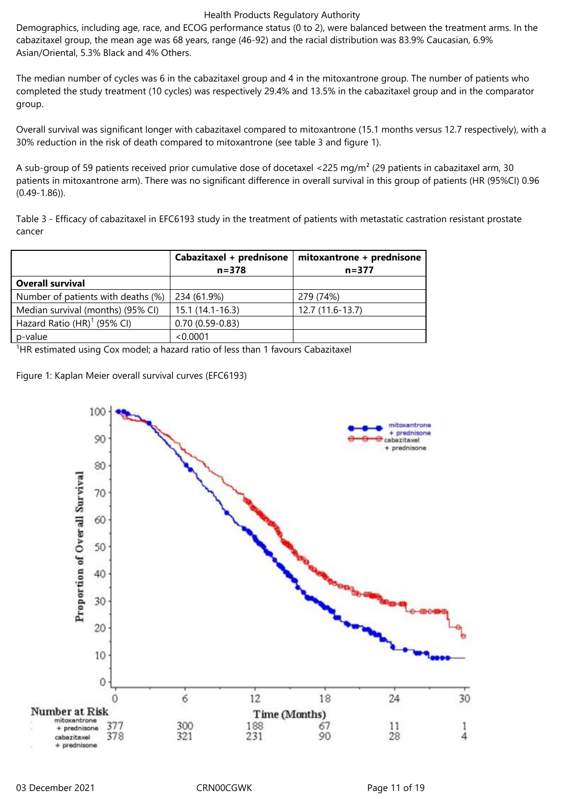Demographics, including age, race, and ECOG performance status (0 to 2), were balanced between the treatment arms. In the cabazitaxel group, the mean age was 68 years, range (46-92) and the racial distribution was 83.9% Caucasian, 6.9% Asian/Oriental, 5.3% Black and 4% Others.

The median number of cycles was 6 in the cabazitaxel group and 4 in the mitoxantrone group. The number of patients who completed the study treatment (10 cycles) was respectively 29.4% and 13.5% in the cabazitaxel group and in the comparator group.

Overall survival was significant longer with cabazitaxel compared to mitoxantrone (15.1 months versus 12.7 respectively), with a 30% reduction in the risk of death compared to mitoxantrone (see table 3 and figure 1).

A sub-group of 59 patients received prior cumulative dose of docetaxel <225 mg/m<sup>2</sup> (29 patients in cabazitaxel arm, 30 patients in mitoxantrone arm). There was no significant difference in overall survival in this group of patients (HR (95%CI) 0.96 (0.49-1.86)).

Table 3 - Efficacy of cabazitaxel in EFC6193 study in the treatment of patients with metastatic castration resistant prostate cancer

|                                    | Cabazitaxel + prednisone | mitoxantrone + prednisone |
|------------------------------------|--------------------------|---------------------------|
|                                    | $n = 378$                | $n = 377$                 |
| <b>Overall survival</b>            |                          |                           |
| Number of patients with deaths (%) | 234 (61.9%)              | 279 (74%)                 |
| Median survival (months) (95% CI)  | $15.1(14.1-16.3)$        | 12.7 (11.6-13.7)          |
| Hazard Ratio $(HR)^1$ (95% CI)     | $0.70(0.59 - 0.83)$      |                           |
| p-value                            | < 0.0001                 |                           |

 $1$ HR estimated using Cox model; a hazard ratio of less than 1 favours Cabazitaxel

Figure 1: Kaplan Meier overall survival curves (EFC6193)

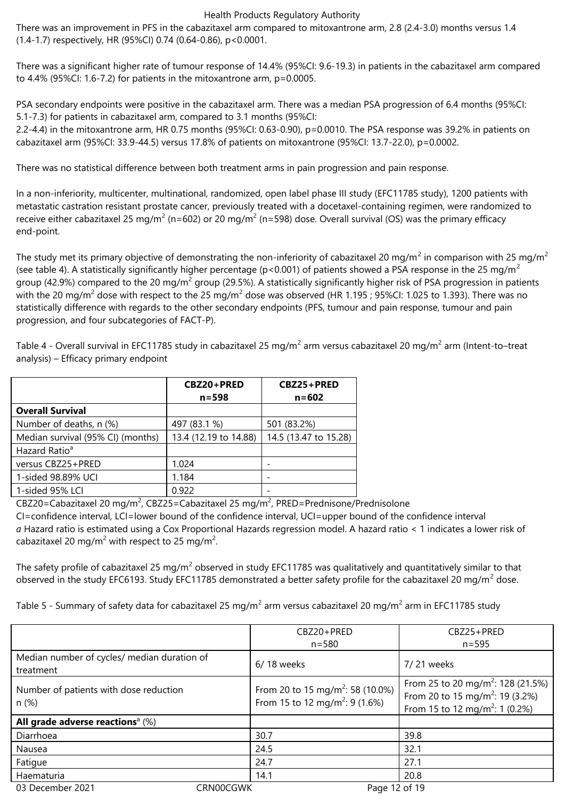There was an improvement in PFS in the cabazitaxel arm compared to mitoxantrone arm, 2.8 (2.4-3.0) months versus 1.4 (1.4-1.7) respectively, HR (95%CI) 0.74 (0.64-0.86), p<0.0001.

There was a significant higher rate of tumour response of 14.4% (95%CI: 9.6-19.3) in patients in the cabazitaxel arm compared to 4.4% (95%CI: 1.6-7.2) for patients in the mitoxantrone arm, p=0.0005.

PSA secondary endpoints were positive in the cabazitaxel arm. There was a median PSA progression of 6.4 months (95%CI: 5.1-7.3) for patients in cabazitaxel arm, compared to 3.1 months (95%CI:

2.2-4.4) in the mitoxantrone arm, HR 0.75 months (95%CI: 0.63-0.90), p=0.0010. The PSA response was 39.2% in patients on cabazitaxel arm (95%CI: 33.9-44.5) versus 17.8% of patients on mitoxantrone (95%CI: 13.7-22.0), p=0.0002.

There was no statistical difference between both treatment arms in pain progression and pain response.

In a non-inferiority, multicenter, multinational, randomized, open label phase III study (EFC11785 study), 1200 patients with metastatic castration resistant prostate cancer, previously treated with a docetaxel-containing regimen, were randomized to receive either cabazitaxel 25 mg/m<sup>2</sup> (n=602) or 20 mg/m<sup>2</sup> (n=598) dose. Overall survival (OS) was the primary efficacy end-point.

The study met its primary objective of demonstrating the non-inferiority of cabazitaxel 20 mg/m<sup>2</sup> in comparison with 25 mg/m<sup>2</sup> (see table 4). A statistically significantly higher percentage ( $p$ <0.001) of patients showed a PSA response in the 25 mg/m<sup>2</sup> group (42.9%) compared to the 20 mg/m<sup>2</sup> group (29.5%). A statistically significantly higher risk of PSA progression in patients with the 20 mg/m<sup>2</sup> dose with respect to the 25 mg/m<sup>2</sup> dose was observed (HR 1.195 ; 95%CI: 1.025 to 1.393). There was no statistically difference with regards to the other secondary endpoints (PFS, tumour and pain response, tumour and pain progression, and four subcategories of FACT-P).

Table 4 - Overall survival in EFC11785 study in cabazitaxel 25 mg/m<sup>2</sup> arm versus cabazitaxel 20 mg/m<sup>2</sup> arm (Intent-to–treat analysis) – Efficacy primary endpoint

|                                   | CBZ20+PRED<br>$n = 598$ | CBZ25+PRED<br>$n = 602$ |
|-----------------------------------|-------------------------|-------------------------|
| <b>Overall Survival</b>           |                         |                         |
| Number of deaths, n (%)           | 497 (83.1 %)            | 501 (83.2%)             |
| Median survival (95% CI) (months) | 13.4 (12.19 to 14.88)   | 14.5 (13.47 to 15.28)   |
| Hazard Ratio <sup>a</sup>         |                         |                         |
| versus CBZ25+PRED                 | 1.024                   |                         |
| 1-sided 98.89% UCI                | 1.184                   |                         |
| 1-sided 95% LCI                   | 0.922                   |                         |

CBZ20=Cabazitaxel 20 mg/m<sup>2</sup>, CBZ25=Cabazitaxel 25 mg/m<sup>2</sup>, PRED=Prednisone/Prednisolone

CI=confidence interval, LCI=lower bound of the confidence interval, UCI=upper bound of the confidence interval *a* Hazard ratio is estimated using a Cox Proportional Hazards regression model. A hazard ratio < 1 indicates a lower risk of cabazitaxel 20 mg/m<sup>2</sup> with respect to 25 mg/m<sup>2</sup>.

The safety profile of cabazitaxel 25 mg/m<sup>2</sup> observed in study EFC11785 was qualitatively and quantitatively similar to that observed in the study EFC6193. Study EFC11785 demonstrated a better safety profile for the cabazitaxel 20 mg/m<sup>2</sup> dose.

Table 5 - Summary of safety data for cabazitaxel 25 mg/m<sup>2</sup> arm versus cabazitaxel 20 mg/m<sup>2</sup> arm in EFC11785 study

|                                                          |           | CBZ20+PRED                                                                                 | CBZ25+PRED                                                                                                                                 |
|----------------------------------------------------------|-----------|--------------------------------------------------------------------------------------------|--------------------------------------------------------------------------------------------------------------------------------------------|
|                                                          |           | $n = 580$                                                                                  | $n = 595$                                                                                                                                  |
| Median number of cycles/ median duration of<br>treatment |           | 6/18 weeks                                                                                 | 7/21 weeks                                                                                                                                 |
| Number of patients with dose reduction<br>n(%)           |           | From 20 to 15 mg/m <sup>2</sup> : 58 (10.0%)<br>From 15 to 12 mg/m <sup>2</sup> : 9 (1.6%) | From 25 to 20 mg/m <sup>2</sup> : 128 (21.5%)<br>From 20 to 15 mg/m <sup>2</sup> : 19 (3.2%)<br>From 15 to 12 mg/m <sup>2</sup> : 1 (0.2%) |
| All grade adverse reactions <sup>a</sup> $(\%)$          |           |                                                                                            |                                                                                                                                            |
| Diarrhoea                                                |           | 30.7                                                                                       | 39.8                                                                                                                                       |
| Nausea                                                   |           | 24.5                                                                                       | 32.1                                                                                                                                       |
| Fatigue                                                  |           | 24.7                                                                                       | 27.1                                                                                                                                       |
| Haematuria                                               |           | 14.1                                                                                       | 20.8                                                                                                                                       |
| 03 December 2021                                         | CRN00CGWK | Page 12 of 19                                                                              |                                                                                                                                            |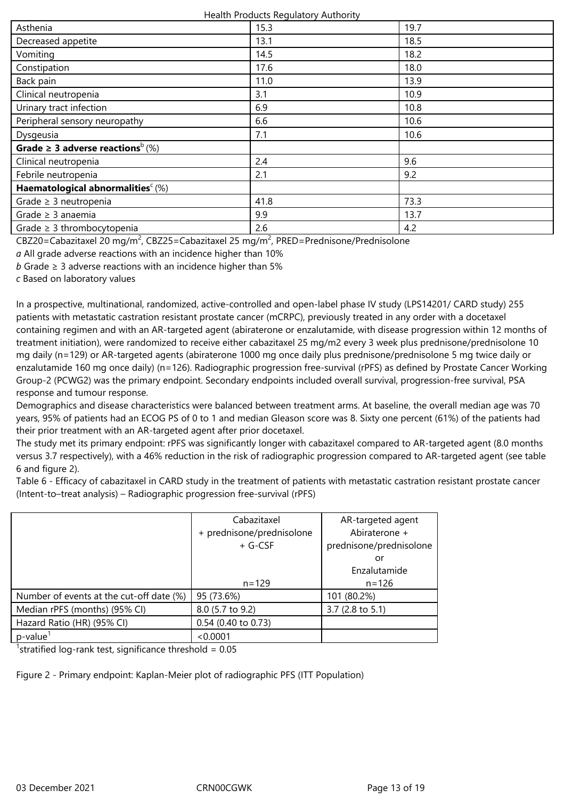| 15.3 | 19.7 |
|------|------|
| 13.1 | 18.5 |
| 14.5 | 18.2 |
| 17.6 | 18.0 |
| 11.0 | 13.9 |
| 3.1  | 10.9 |
| 6.9  | 10.8 |
| 6.6  | 10.6 |
| 7.1  | 10.6 |
|      |      |
| 2.4  | 9.6  |
| 2.1  | 9.2  |
|      |      |
| 41.8 | 73.3 |
| 9.9  | 13.7 |
| 2.6  | 4.2  |
|      |      |

CBZ20=Cabazitaxel 20 mg/m<sup>2</sup>, CBZ25=Cabazitaxel 25 mg/m<sup>2</sup>, PRED=Prednisone/Prednisolone

*a* All grade adverse reactions with an incidence higher than 10%

*b* Grade ≥ 3 adverse reactions with an incidence higher than 5%

*c* Based on laboratory values

In a prospective, multinational, randomized, active-controlled and open-label phase IV study (LPS14201/ CARD study) 255 patients with metastatic castration resistant prostate cancer (mCRPC), previously treated in any order with a docetaxel containing regimen and with an AR-targeted agent (abiraterone or enzalutamide, with disease progression within 12 months of treatment initiation), were randomized to receive either cabazitaxel 25 mg/m2 every 3 week plus prednisone/prednisolone 10 mg daily (n=129) or AR-targeted agents (abiraterone 1000 mg once daily plus prednisone/prednisolone 5 mg twice daily or enzalutamide 160 mg once daily) (n=126). Radiographic progression free-survival (rPFS) as defined by Prostate Cancer Working Group-2 (PCWG2) was the primary endpoint. Secondary endpoints included overall survival, progression-free survival, PSA response and tumour response.

Demographics and disease characteristics were balanced between treatment arms. At baseline, the overall median age was 70 years, 95% of patients had an ECOG PS of 0 to 1 and median Gleason score was 8. Sixty one percent (61%) of the patients had their prior treatment with an AR-targeted agent after prior docetaxel.

The study met its primary endpoint: rPFS was significantly longer with cabazitaxel compared to AR-targeted agent (8.0 months versus 3.7 respectively), with a 46% reduction in the risk of radiographic progression compared to AR-targeted agent (see table 6 and figure 2).

Table 6 - Efficacy of cabazitaxel in CARD study in the treatment of patients with metastatic castration resistant prostate cancer (Intent-to–treat analysis) – Radiographic progression free-survival (rPFS)

|                                                                                              | Cabazitaxel               | AR-targeted agent       |
|----------------------------------------------------------------------------------------------|---------------------------|-------------------------|
|                                                                                              | + prednisone/prednisolone | Abiraterone +           |
|                                                                                              | + G-CSF                   | prednisone/prednisolone |
|                                                                                              |                           | or                      |
|                                                                                              |                           | Enzalutamide            |
|                                                                                              | $n = 129$                 | $n = 126$               |
| Number of events at the cut-off date (%)                                                     | 95 (73.6%)                | 101 (80.2%)             |
| Median rPFS (months) (95% CI)                                                                | 8.0 (5.7 to 9.2)          | 3.7 (2.8 to 5.1)        |
| Hazard Ratio (HR) (95% CI)                                                                   | 0.54 (0.40 to 0.73)       |                         |
| $p$ -value $1$                                                                               | < 0.0001                  |                         |
| $\blacksquare$<br>$\cdot$ $\cdot$<br>$\sim$ $\sim$ $\sim$ $\sim$ $\sim$ $\sim$ $\sim$ $\sim$ |                           |                         |

<sup>1</sup>stratified log-rank test, significance threshold =  $0.05$ 

Figure 2 - Primary endpoint: Kaplan-Meier plot of radiographic PFS (ITT Population)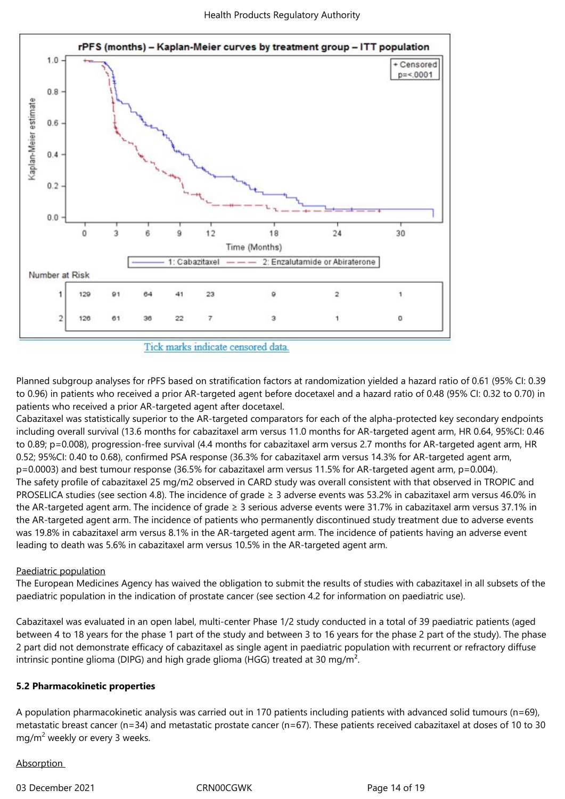

Tick marks indicate censored data.

Planned subgroup analyses for rPFS based on stratification factors at randomization yielded a hazard ratio of 0.61 (95% CI: 0.39 to 0.96) in patients who received a prior AR-targeted agent before docetaxel and a hazard ratio of 0.48 (95% CI: 0.32 to 0.70) in patients who received a prior AR-targeted agent after docetaxel.

Cabazitaxel was statistically superior to the AR-targeted comparators for each of the alpha-protected key secondary endpoints including overall survival (13.6 months for cabazitaxel arm versus 11.0 months for AR-targeted agent arm, HR 0.64, 95%CI: 0.46 to 0.89; p=0.008), progression-free survival (4.4 months for cabazitaxel arm versus 2.7 months for AR-targeted agent arm, HR 0.52; 95%CI: 0.40 to 0.68), confirmed PSA response (36.3% for cabazitaxel arm versus 14.3% for AR-targeted agent arm, p=0.0003) and best tumour response (36.5% for cabazitaxel arm versus 11.5% for AR-targeted agent arm, p=0.004). The safety profile of cabazitaxel 25 mg/m2 observed in CARD study was overall consistent with that observed in TROPIC and PROSELICA studies (see section 4.8). The incidence of grade ≥ 3 adverse events was 53.2% in cabazitaxel arm versus 46.0% in the AR-targeted agent arm. The incidence of grade ≥ 3 serious adverse events were 31.7% in cabazitaxel arm versus 37.1% in the AR-targeted agent arm. The incidence of patients who permanently discontinued study treatment due to adverse events was 19.8% in cabazitaxel arm versus 8.1% in the AR-targeted agent arm. The incidence of patients having an adverse event leading to death was 5.6% in cabazitaxel arm versus 10.5% in the AR-targeted agent arm.

## Paediatric population

The European Medicines Agency has waived the obligation to submit the results of studies with cabazitaxel in all subsets of the paediatric population in the indication of prostate cancer (see section 4.2 for information on paediatric use).

Cabazitaxel was evaluated in an open label, multi-center Phase 1/2 study conducted in a total of 39 paediatric patients (aged between 4 to 18 years for the phase 1 part of the study and between 3 to 16 years for the phase 2 part of the study). The phase 2 part did not demonstrate efficacy of cabazitaxel as single agent in paediatric population with recurrent or refractory diffuse intrinsic pontine glioma (DIPG) and high grade glioma (HGG) treated at 30 mg/m².

## **5.2 Pharmacokinetic properties**

A population pharmacokinetic analysis was carried out in 170 patients including patients with advanced solid tumours (n=69), metastatic breast cancer (n=34) and metastatic prostate cancer (n=67). These patients received cabazitaxel at doses of 10 to 30 mg/m<sup>2</sup> weekly or every 3 weeks.

## Absorption

03 December 2021 CRN00CGWK Page 14 of 19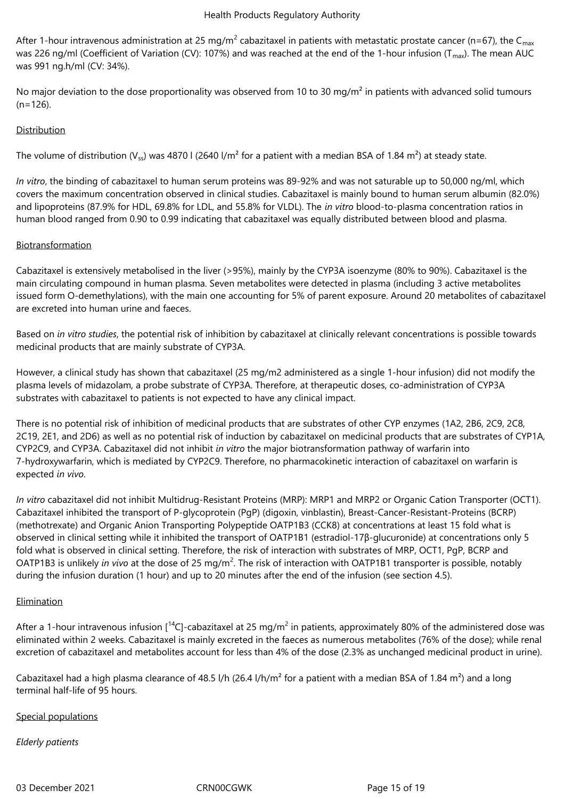After 1-hour intravenous administration at 25 mg/m<sup>2</sup> cabazitaxel in patients with metastatic prostate cancer (n=67), the C<sub>max</sub> was 226 ng/ml (Coefficient of Variation (CV): 107%) and was reached at the end of the 1-hour infusion ( $T_{max}$ ). The mean AUC was 991 ng.h/ml (CV: 34%).

No major deviation to the dose proportionality was observed from 10 to 30 mg/m<sup>2</sup> in patients with advanced solid tumours  $(n=126)$ .

## **Distribution**

The volume of distribution (V<sub>ss</sub>) was 4870 l (2640 l/m<sup>2</sup> for a patient with a median BSA of 1.84 m<sup>2</sup>) at steady state.

*In vitro*, the binding of cabazitaxel to human serum proteins was 89-92% and was not saturable up to 50,000 ng/ml, which covers the maximum concentration observed in clinical studies. Cabazitaxel is mainly bound to human serum albumin (82.0%) and lipoproteins (87.9% for HDL, 69.8% for LDL, and 55.8% for VLDL). The *in vitro* blood-to-plasma concentration ratios in human blood ranged from 0.90 to 0.99 indicating that cabazitaxel was equally distributed between blood and plasma.

## Biotransformation

Cabazitaxel is extensively metabolised in the liver (>95%), mainly by the CYP3A isoenzyme (80% to 90%). Cabazitaxel is the main circulating compound in human plasma. Seven metabolites were detected in plasma (including 3 active metabolites issued form O-demethylations), with the main one accounting for 5% of parent exposure. Around 20 metabolites of cabazitaxel are excreted into human urine and faeces.

Based on *in vitro studies*, the potential risk of inhibition by cabazitaxel at clinically relevant concentrations is possible towards medicinal products that are mainly substrate of CYP3A.

However, a clinical study has shown that cabazitaxel (25 mg/m2 administered as a single 1-hour infusion) did not modify the plasma levels of midazolam, a probe substrate of CYP3A. Therefore, at therapeutic doses, co-administration of CYP3A substrates with cabazitaxel to patients is not expected to have any clinical impact.

There is no potential risk of inhibition of medicinal products that are substrates of other CYP enzymes (1A2, 2B6, 2C9, 2C8, 2C19, 2E1, and 2D6) as well as no potential risk of induction by cabazitaxel on medicinal products that are substrates of CYP1A, CYP2C9, and CYP3A. Cabazitaxel did not inhibit *in vitro* the major biotransformation pathway of warfarin into 7-hydroxywarfarin, which is mediated by CYP2C9. Therefore, no pharmacokinetic interaction of cabazitaxel on warfarin is expected *in vivo*.

*In vitro* cabazitaxel did not inhibit Multidrug-Resistant Proteins (MRP): MRP1 and MRP2 or Organic Cation Transporter (OCT1). Cabazitaxel inhibited the transport of P-glycoprotein (PgP) (digoxin, vinblastin), Breast-Cancer-Resistant-Proteins (BCRP) (methotrexate) and Organic Anion Transporting Polypeptide OATP1B3 (CCK8) at concentrations at least 15 fold what is observed in clinical setting while it inhibited the transport of OATP1B1 (estradiol-17β-glucuronide) at concentrations only 5 fold what is observed in clinical setting. Therefore, the risk of interaction with substrates of MRP, OCT1, PgP, BCRP and OATP1B3 is unlikely *in vivo* at the dose of 25 mg/m<sup>2</sup>. The risk of interaction with OATP1B1 transporter is possible, notably during the infusion duration (1 hour) and up to 20 minutes after the end of the infusion (see section 4.5).

## **Elimination**

After a 1-hour intravenous infusion [<sup>14</sup>C]-cabazitaxel at 25 mg/m<sup>2</sup> in patients, approximately 80% of the administered dose was eliminated within 2 weeks. Cabazitaxel is mainly excreted in the faeces as numerous metabolites (76% of the dose); while renal excretion of cabazitaxel and metabolites account for less than 4% of the dose (2.3% as unchanged medicinal product in urine).

Cabazitaxel had a high plasma clearance of 48.5 l/h (26.4 l/h/m<sup>2</sup> for a patient with a median BSA of 1.84 m<sup>2</sup>) and a long terminal half-life of 95 hours.

## Special populations

## *Elderly patients*

03 December 2021 CRN00CGWK Page 15 of 19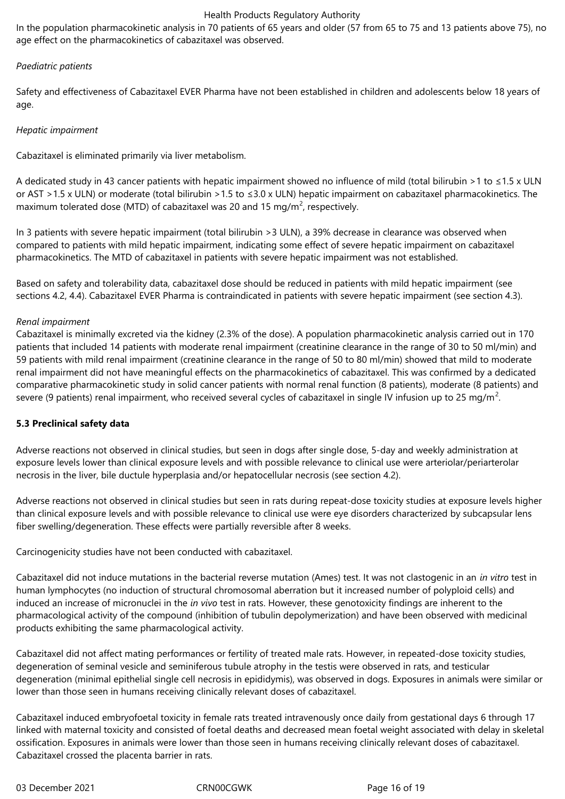In the population pharmacokinetic analysis in 70 patients of 65 years and older (57 from 65 to 75 and 13 patients above 75), no age effect on the pharmacokinetics of cabazitaxel was observed.

## *Paediatric patients*

Safety and effectiveness of Cabazitaxel EVER Pharma have not been established in children and adolescents below 18 years of age.

## *Hepatic impairment*

Cabazitaxel is eliminated primarily via liver metabolism.

A dedicated study in 43 cancer patients with hepatic impairment showed no influence of mild (total bilirubin >1 to ≤1.5 x ULN or AST >1.5 x ULN) or moderate (total bilirubin >1.5 to ≤3.0 x ULN) hepatic impairment on cabazitaxel pharmacokinetics. The maximum tolerated dose (MTD) of cabazitaxel was 20 and 15 mg/m<sup>2</sup>, respectively.

In 3 patients with severe hepatic impairment (total bilirubin >3 ULN), a 39% decrease in clearance was observed when compared to patients with mild hepatic impairment, indicating some effect of severe hepatic impairment on cabazitaxel pharmacokinetics. The MTD of cabazitaxel in patients with severe hepatic impairment was not established.

Based on safety and tolerability data, cabazitaxel dose should be reduced in patients with mild hepatic impairment (see sections 4.2, 4.4). Cabazitaxel EVER Pharma is contraindicated in patients with severe hepatic impairment (see section 4.3).

## *Renal impairment*

Cabazitaxel is minimally excreted via the kidney (2.3% of the dose). A population pharmacokinetic analysis carried out in 170 patients that included 14 patients with moderate renal impairment (creatinine clearance in the range of 30 to 50 ml/min) and 59 patients with mild renal impairment (creatinine clearance in the range of 50 to 80 ml/min) showed that mild to moderate renal impairment did not have meaningful effects on the pharmacokinetics of cabazitaxel. This was confirmed by a dedicated comparative pharmacokinetic study in solid cancer patients with normal renal function (8 patients), moderate (8 patients) and severe (9 patients) renal impairment, who received several cycles of cabazitaxel in single IV infusion up to 25 mg/m<sup>2</sup>.

## **5.3 Preclinical safety data**

Adverse reactions not observed in clinical studies, but seen in dogs after single dose, 5-day and weekly administration at exposure levels lower than clinical exposure levels and with possible relevance to clinical use were arteriolar/periarterolar necrosis in the liver, bile ductule hyperplasia and/or hepatocellular necrosis (see section 4.2).

Adverse reactions not observed in clinical studies but seen in rats during repeat-dose toxicity studies at exposure levels higher than clinical exposure levels and with possible relevance to clinical use were eye disorders characterized by subcapsular lens fiber swelling/degeneration. These effects were partially reversible after 8 weeks.

Carcinogenicity studies have not been conducted with cabazitaxel.

Cabazitaxel did not induce mutations in the bacterial reverse mutation (Ames) test. It was not clastogenic in an *in vitro* test in human lymphocytes (no induction of structural chromosomal aberration but it increased number of polyploid cells) and induced an increase of micronuclei in the *in vivo* test in rats. However, these genotoxicity findings are inherent to the pharmacological activity of the compound (inhibition of tubulin depolymerization) and have been observed with medicinal products exhibiting the same pharmacological activity.

Cabazitaxel did not affect mating performances or fertility of treated male rats. However, in repeated-dose toxicity studies, degeneration of seminal vesicle and seminiferous tubule atrophy in the testis were observed in rats, and testicular degeneration (minimal epithelial single cell necrosis in epididymis), was observed in dogs. Exposures in animals were similar or lower than those seen in humans receiving clinically relevant doses of cabazitaxel.

Cabazitaxel induced embryofoetal toxicity in female rats treated intravenously once daily from gestational days 6 through 17 linked with maternal toxicity and consisted of foetal deaths and decreased mean foetal weight associated with delay in skeletal ossification. Exposures in animals were lower than those seen in humans receiving clinically relevant doses of cabazitaxel. Cabazitaxel crossed the placenta barrier in rats.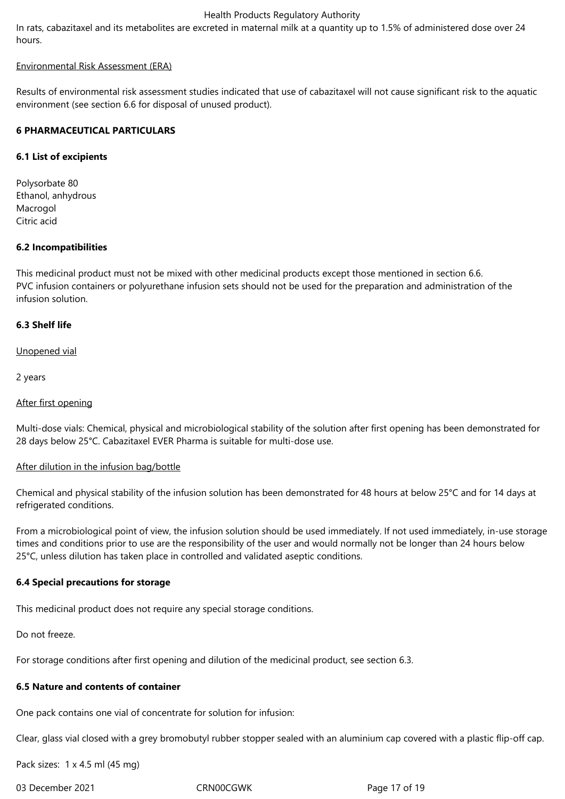In rats, cabazitaxel and its metabolites are excreted in maternal milk at a quantity up to 1.5% of administered dose over 24 hours.

### Environmental Risk Assessment (ERA)

Results of environmental risk assessment studies indicated that use of cabazitaxel will not cause significant risk to the aquatic environment (see section 6.6 for disposal of unused product).

## **6 PHARMACEUTICAL PARTICULARS**

## **6.1 List of excipients**

Polysorbate 80 Ethanol, anhydrous Macrogol Citric acid

## **6.2 Incompatibilities**

This medicinal product must not be mixed with other medicinal products except those mentioned in section 6.6. PVC infusion containers or polyurethane infusion sets should not be used for the preparation and administration of the infusion solution.

## **6.3 Shelf life**

Unopened vial

2 years

## After first opening

Multi-dose vials: Chemical, physical and microbiological stability of the solution after first opening has been demonstrated for 28 days below 25°C. Cabazitaxel EVER Pharma is suitable for multi-dose use.

## After dilution in the infusion bag/bottle

Chemical and physical stability of the infusion solution has been demonstrated for 48 hours at below 25°C and for 14 days at refrigerated conditions.

From a microbiological point of view, the infusion solution should be used immediately. If not used immediately, in-use storage times and conditions prior to use are the responsibility of the user and would normally not be longer than 24 hours below 25°C, unless dilution has taken place in controlled and validated aseptic conditions.

## **6.4 Special precautions for storage**

This medicinal product does not require any special storage conditions.

Do not freeze.

For storage conditions after first opening and dilution of the medicinal product, see section 6.3.

## **6.5 Nature and contents of container**

One pack contains one vial of concentrate for solution for infusion:

Clear, glass vial closed with a grey bromobutyl rubber stopper sealed with an aluminium cap covered with a plastic flip-off cap.

Pack sizes: 1 x 4.5 ml (45 mg)

03 December 2021 CRN00CGWK Page 17 of 19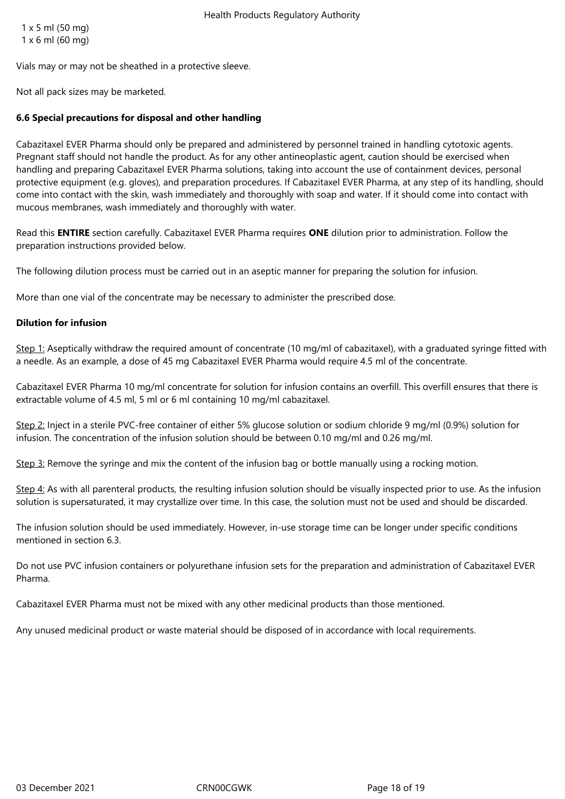1 x 5 ml (50 mg) 1 x 6 ml (60 mg)

Vials may or may not be sheathed in a protective sleeve.

Not all pack sizes may be marketed.

## **6.6 Special precautions for disposal and other handling**

Cabazitaxel EVER Pharma should only be prepared and administered by personnel trained in handling cytotoxic agents. Pregnant staff should not handle the product. As for any other antineoplastic agent, caution should be exercised when handling and preparing Cabazitaxel EVER Pharma solutions, taking into account the use of containment devices, personal protective equipment (e.g. gloves), and preparation procedures. If Cabazitaxel EVER Pharma, at any step of its handling, should come into contact with the skin, wash immediately and thoroughly with soap and water. If it should come into contact with mucous membranes, wash immediately and thoroughly with water.

Read this **ENTIRE** section carefully. Cabazitaxel EVER Pharma requires **ONE** dilution prior to administration. Follow the preparation instructions provided below.

The following dilution process must be carried out in an aseptic manner for preparing the solution for infusion.

More than one vial of the concentrate may be necessary to administer the prescribed dose.

#### **Dilution for infusion**

Step 1: Aseptically withdraw the required amount of concentrate (10 mg/ml of cabazitaxel), with a graduated syringe fitted with a needle. As an example, a dose of 45 mg Cabazitaxel EVER Pharma would require 4.5 ml of the concentrate.

Cabazitaxel EVER Pharma 10 mg/ml concentrate for solution for infusion contains an overfill. This overfill ensures that there is extractable volume of 4.5 ml, 5 ml or 6 ml containing 10 mg/ml cabazitaxel.

Step 2: Inject in a sterile PVC-free container of either 5% glucose solution or sodium chloride 9 mg/ml (0.9%) solution for infusion. The concentration of the infusion solution should be between 0.10 mg/ml and 0.26 mg/ml.

Step 3: Remove the syringe and mix the content of the infusion bag or bottle manually using a rocking motion.

Step 4: As with all parenteral products, the resulting infusion solution should be visually inspected prior to use. As the infusion solution is supersaturated, it may crystallize over time. In this case, the solution must not be used and should be discarded.

The infusion solution should be used immediately. However, in-use storage time can be longer under specific conditions mentioned in section 6.3.

Do not use PVC infusion containers or polyurethane infusion sets for the preparation and administration of Cabazitaxel EVER Pharma.

Cabazitaxel EVER Pharma must not be mixed with any other medicinal products than those mentioned.

Any unused medicinal product or waste material should be disposed of in accordance with local requirements.